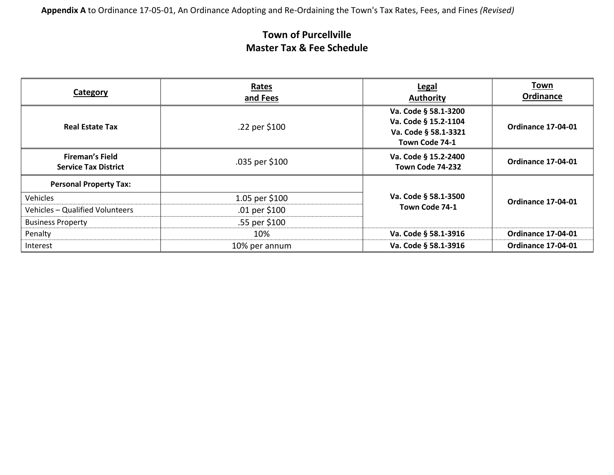**Appendix A** to Ordinance 17-05-01, An Ordinance Adopting and Re-Ordaining the Town's Tax Rates, Fees, and Fines *(Revised)*

| Category                                              | Rates<br>and Fees | <b>Legal</b><br><b>Authority</b>                                                       | Town<br>Ordinance         |
|-------------------------------------------------------|-------------------|----------------------------------------------------------------------------------------|---------------------------|
| <b>Real Estate Tax</b>                                | .22 per \$100     | Va. Code § 58.1-3200<br>Va. Code § 15.2-1104<br>Va. Code § 58.1-3321<br>Town Code 74-1 | <b>Ordinance 17-04-01</b> |
| <b>Fireman's Field</b><br><b>Service Tax District</b> | .035 per \$100    | Va. Code § 15.2-2400<br>Town Code 74-232                                               | <b>Ordinance 17-04-01</b> |
| <b>Personal Property Tax:</b>                         |                   |                                                                                        |                           |
| Vehicles                                              | 1.05 per \$100    | Va. Code § 58.1-3500                                                                   | <b>Ordinance 17-04-01</b> |
| Vehicles - Qualified Volunteers                       | .01 per $$100$    | Town Code 74-1                                                                         |                           |
| <b>Business Property</b>                              | .55 per \$100     |                                                                                        |                           |
| Penalty                                               | 10%               | Va. Code § 58.1-3916                                                                   | <b>Ordinance 17-04-01</b> |
| Interest                                              | 10% per annum     | Va. Code § 58.1-3916                                                                   | <b>Ordinance 17-04-01</b> |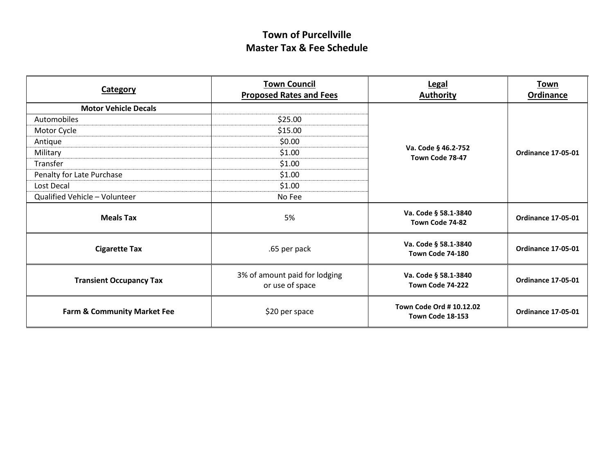| Category                               | <b>Town Council</b><br><b>Legal</b><br><b>Proposed Rates and Fees</b><br><b>Authority</b> |                                              | <b>Town</b><br><b>Ordinance</b> |
|----------------------------------------|-------------------------------------------------------------------------------------------|----------------------------------------------|---------------------------------|
| <b>Motor Vehicle Decals</b>            |                                                                                           |                                              |                                 |
| Automobiles                            | \$25.00                                                                                   |                                              |                                 |
| Motor Cycle                            | \$15.00                                                                                   |                                              |                                 |
| Antique                                | \$0.00                                                                                    |                                              |                                 |
| Military                               | \$1.00                                                                                    | Va. Code § 46.2-752<br>Town Code 78-47       | <b>Ordinance 17-05-01</b>       |
| Transfer                               | \$1.00                                                                                    |                                              |                                 |
| Penalty for Late Purchase              | \$1.00                                                                                    |                                              |                                 |
| Lost Decal                             | \$1.00                                                                                    |                                              |                                 |
| Qualified Vehicle - Volunteer          | No Fee                                                                                    |                                              |                                 |
| <b>Meals Tax</b>                       | 5%                                                                                        | Va. Code § 58.1-3840<br>Town Code 74-82      | <b>Ordinance 17-05-01</b>       |
| <b>Cigarette Tax</b>                   | .65 per pack                                                                              | Va. Code § 58.1-3840<br>Town Code 74-180     | <b>Ordinance 17-05-01</b>       |
| <b>Transient Occupancy Tax</b>         | 3% of amount paid for lodging<br>or use of space                                          | Va. Code § 58.1-3840<br>Town Code 74-222     | <b>Ordinance 17-05-01</b>       |
| <b>Farm &amp; Community Market Fee</b> | \$20 per space                                                                            | Town Code Ord # 10.12.02<br>Town Code 18-153 | <b>Ordinance 17-05-01</b>       |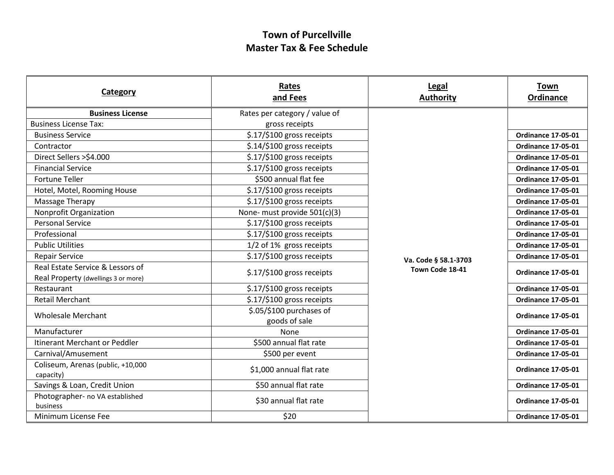| <b>Category</b>                                | Rates<br>and Fees                                  | <b>Legal</b><br><b>Authority</b> | <b>Town</b><br>Ordinance  |
|------------------------------------------------|----------------------------------------------------|----------------------------------|---------------------------|
| <b>Business License</b>                        | Rates per category / value of                      |                                  |                           |
| <b>Business License Tax:</b>                   | gross receipts                                     |                                  |                           |
| <b>Business Service</b>                        | \$.17/\$100 gross receipts                         |                                  | <b>Ordinance 17-05-01</b> |
| Contractor                                     | \$.14/\$100 gross receipts                         |                                  | <b>Ordinance 17-05-01</b> |
| Direct Sellers >\$4.000                        | \$.17/\$100 gross receipts                         |                                  | <b>Ordinance 17-05-01</b> |
| <b>Financial Service</b>                       | \$.17/\$100 gross receipts                         |                                  | <b>Ordinance 17-05-01</b> |
| <b>Fortune Teller</b>                          | \$500 annual flat fee                              |                                  | <b>Ordinance 17-05-01</b> |
| Hotel, Motel, Rooming House                    | \$.17/\$100 gross receipts                         |                                  | <b>Ordinance 17-05-01</b> |
| Massage Therapy                                | \$.17/\$100 gross receipts                         |                                  | <b>Ordinance 17-05-01</b> |
| Nonprofit Organization                         | None- must provide 501(c)(3)                       |                                  | <b>Ordinance 17-05-01</b> |
| <b>Personal Service</b>                        | \$.17/\$100 gross receipts                         |                                  | <b>Ordinance 17-05-01</b> |
| Professional                                   | \$.17/\$100 gross receipts                         |                                  | <b>Ordinance 17-05-01</b> |
| <b>Public Utilities</b>                        | 1/2 of 1% gross receipts                           |                                  | <b>Ordinance 17-05-01</b> |
| <b>Repair Service</b>                          | \$.17/\$100 gross receipts<br>Va. Code § 58.1-3703 | <b>Ordinance 17-05-01</b>        |                           |
| Real Estate Service & Lessors of               | \$.17/\$100 gross receipts                         | Town Code 18-41                  | <b>Ordinance 17-05-01</b> |
| Real Property (dwellings 3 or more)            |                                                    |                                  |                           |
| Restaurant                                     | \$.17/\$100 gross receipts                         |                                  | <b>Ordinance 17-05-01</b> |
| <b>Retail Merchant</b>                         | \$.17/\$100 gross receipts                         |                                  | <b>Ordinance 17-05-01</b> |
| <b>Wholesale Merchant</b>                      | \$.05/\$100 purchases of                           |                                  | <b>Ordinance 17-05-01</b> |
|                                                | goods of sale                                      |                                  |                           |
| Manufacturer                                   | None                                               |                                  | <b>Ordinance 17-05-01</b> |
| Itinerant Merchant or Peddler                  | \$500 annual flat rate                             |                                  | <b>Ordinance 17-05-01</b> |
| Carnival/Amusement                             | \$500 per event                                    |                                  | <b>Ordinance 17-05-01</b> |
| Coliseum, Arenas (public, +10,000<br>capacity) | \$1,000 annual flat rate                           |                                  | <b>Ordinance 17-05-01</b> |
| Savings & Loan, Credit Union                   | \$50 annual flat rate                              |                                  | <b>Ordinance 17-05-01</b> |
| Photographer- no VA established<br>business    | \$30 annual flat rate                              |                                  | <b>Ordinance 17-05-01</b> |
| Minimum License Fee                            | \$20                                               |                                  | <b>Ordinance 17-05-01</b> |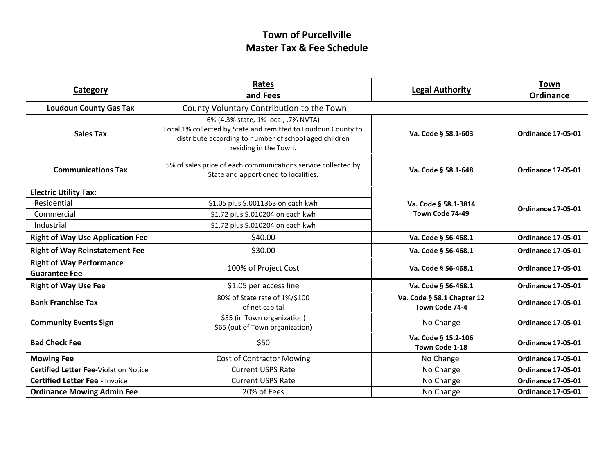| Rates<br><b>Category</b><br>and Fees                    |                                                                                                                                                                                         | <b>Legal Authority</b>                       | Town<br>Ordinance         |
|---------------------------------------------------------|-----------------------------------------------------------------------------------------------------------------------------------------------------------------------------------------|----------------------------------------------|---------------------------|
| <b>Loudoun County Gas Tax</b>                           | County Voluntary Contribution to the Town                                                                                                                                               |                                              |                           |
| <b>Sales Tax</b>                                        | 6% (4.3% state, 1% local, .7% NVTA)<br>Local 1% collected by State and remitted to Loudoun County to<br>distribute according to number of school aged children<br>residing in the Town. | Va. Code § 58.1-603                          | <b>Ordinance 17-05-01</b> |
| <b>Communications Tax</b>                               | 5% of sales price of each communications service collected by<br>State and apportioned to localities.                                                                                   | Va. Code § 58.1-648                          | <b>Ordinance 17-05-01</b> |
| <b>Electric Utility Tax:</b>                            |                                                                                                                                                                                         |                                              |                           |
| Residential                                             | \$1.05 plus \$.0011363 on each kwh                                                                                                                                                      | Va. Code § 58.1-3814                         | <b>Ordinance 17-05-01</b> |
| Commercial                                              | \$1.72 plus \$.010204 on each kwh                                                                                                                                                       | Town Code 74-49                              |                           |
| Industrial                                              | \$1.72 plus \$.010204 on each kwh                                                                                                                                                       |                                              |                           |
| <b>Right of Way Use Application Fee</b>                 | \$40.00                                                                                                                                                                                 | Va. Code § 56-468.1                          | <b>Ordinance 17-05-01</b> |
| <b>Right of Way Reinstatement Fee</b>                   | \$30.00                                                                                                                                                                                 | Va. Code § 56-468.1                          | <b>Ordinance 17-05-01</b> |
| <b>Right of Way Performance</b><br><b>Guarantee Fee</b> | 100% of Project Cost                                                                                                                                                                    | Va. Code § 56-468.1                          | <b>Ordinance 17-05-01</b> |
| <b>Right of Way Use Fee</b>                             | \$1.05 per access line                                                                                                                                                                  | Va. Code § 56-468.1                          | <b>Ordinance 17-05-01</b> |
| <b>Bank Franchise Tax</b>                               | 80% of State rate of 1%/\$100<br>of net capital                                                                                                                                         | Va. Code § 58.1 Chapter 12<br>Town Code 74-4 | <b>Ordinance 17-05-01</b> |
| <b>Community Events Sign</b>                            | \$55 (in Town organization)<br>\$65 (out of Town organization)                                                                                                                          | No Change                                    | <b>Ordinance 17-05-01</b> |
| <b>Bad Check Fee</b>                                    | \$50                                                                                                                                                                                    | Va. Code § 15.2-106<br>Town Code 1-18        |                           |
| <b>Mowing Fee</b>                                       | <b>Cost of Contractor Mowing</b>                                                                                                                                                        | No Change                                    | <b>Ordinance 17-05-01</b> |
| <b>Certified Letter Fee-Violation Notice</b>            | <b>Current USPS Rate</b>                                                                                                                                                                | No Change                                    | <b>Ordinance 17-05-01</b> |
| <b>Certified Letter Fee - Invoice</b>                   | <b>Current USPS Rate</b>                                                                                                                                                                | No Change                                    | <b>Ordinance 17-05-01</b> |
| <b>Ordinance Mowing Admin Fee</b>                       | 20% of Fees                                                                                                                                                                             | No Change                                    | <b>Ordinance 17-05-01</b> |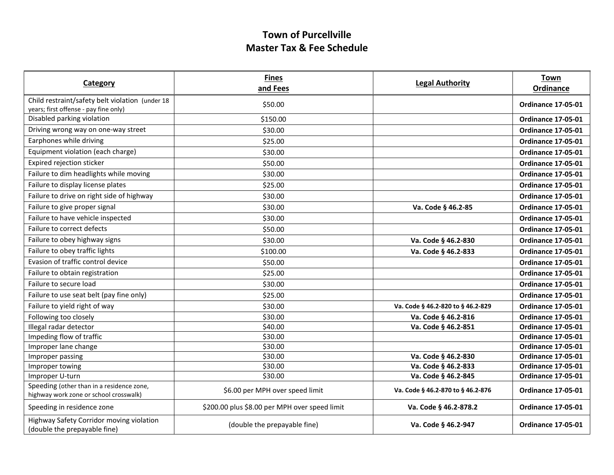| Category                                                                                 | <b>Fines</b><br>and Fees                      | <b>Legal Authority</b>            | <b>Town</b><br><b>Ordinance</b> |
|------------------------------------------------------------------------------------------|-----------------------------------------------|-----------------------------------|---------------------------------|
| Child restraint/safety belt violation (under 18<br>years; first offense - pay fine only) | \$50.00                                       |                                   | <b>Ordinance 17-05-01</b>       |
| Disabled parking violation                                                               | \$150.00                                      |                                   | <b>Ordinance 17-05-01</b>       |
| Driving wrong way on one-way street                                                      | \$30.00                                       |                                   | <b>Ordinance 17-05-01</b>       |
| Earphones while driving                                                                  | \$25.00                                       |                                   | <b>Ordinance 17-05-01</b>       |
| Equipment violation (each charge)                                                        | \$30.00                                       |                                   | <b>Ordinance 17-05-01</b>       |
| Expired rejection sticker                                                                | \$50.00                                       |                                   | <b>Ordinance 17-05-01</b>       |
| Failure to dim headlights while moving                                                   | \$30.00                                       |                                   | <b>Ordinance 17-05-01</b>       |
| Failure to display license plates                                                        | \$25.00                                       |                                   | <b>Ordinance 17-05-01</b>       |
| Failure to drive on right side of highway                                                | \$30.00                                       |                                   | <b>Ordinance 17-05-01</b>       |
| Failure to give proper signal                                                            | \$30.00                                       | Va. Code § 46.2-85                | <b>Ordinance 17-05-01</b>       |
| Failure to have vehicle inspected                                                        | \$30.00                                       |                                   | <b>Ordinance 17-05-01</b>       |
| Failure to correct defects                                                               | \$50.00                                       |                                   | <b>Ordinance 17-05-01</b>       |
| Failure to obey highway signs                                                            | \$30.00                                       | Va. Code § 46.2-830               | <b>Ordinance 17-05-01</b>       |
| Failure to obey traffic lights                                                           | \$100.00                                      | Va. Code § 46.2-833               | <b>Ordinance 17-05-01</b>       |
| Evasion of traffic control device                                                        | \$50.00                                       |                                   | <b>Ordinance 17-05-01</b>       |
| Failure to obtain registration                                                           | \$25.00                                       |                                   | <b>Ordinance 17-05-01</b>       |
| Failure to secure load                                                                   | \$30.00                                       |                                   | <b>Ordinance 17-05-01</b>       |
| Failure to use seat belt (pay fine only)                                                 | \$25.00                                       |                                   | <b>Ordinance 17-05-01</b>       |
| Failure to yield right of way                                                            | \$30.00                                       | Va. Code § 46.2-820 to § 46.2-829 | <b>Ordinance 17-05-01</b>       |
| Following too closely                                                                    | \$30.00                                       | Va. Code § 46.2-816               | <b>Ordinance 17-05-01</b>       |
| Illegal radar detector                                                                   | \$40.00                                       | Va. Code § 46.2-851               | <b>Ordinance 17-05-01</b>       |
| Impeding flow of traffic                                                                 | \$30.00                                       |                                   | <b>Ordinance 17-05-01</b>       |
| Improper lane change                                                                     | \$30.00                                       |                                   | <b>Ordinance 17-05-01</b>       |
| Improper passing                                                                         | \$30.00                                       | Va. Code § 46.2-830               | <b>Ordinance 17-05-01</b>       |
| Improper towing                                                                          | \$30.00                                       | Va. Code § 46.2-833               | <b>Ordinance 17-05-01</b>       |
| Improper U-turn                                                                          | \$30.00                                       | Va. Code § 46.2-845               | <b>Ordinance 17-05-01</b>       |
| Speeding (other than in a residence zone,<br>highway work zone or school crosswalk)      | \$6.00 per MPH over speed limit               | Va. Code § 46.2-870 to § 46.2-876 | <b>Ordinance 17-05-01</b>       |
| Speeding in residence zone                                                               | \$200.00 plus \$8.00 per MPH over speed limit | Va. Code § 46.2-878.2             | <b>Ordinance 17-05-01</b>       |
| Highway Safety Corridor moving violation<br>(double the prepayable fine)                 | (double the prepayable fine)                  | Va. Code § 46.2-947               | <b>Ordinance 17-05-01</b>       |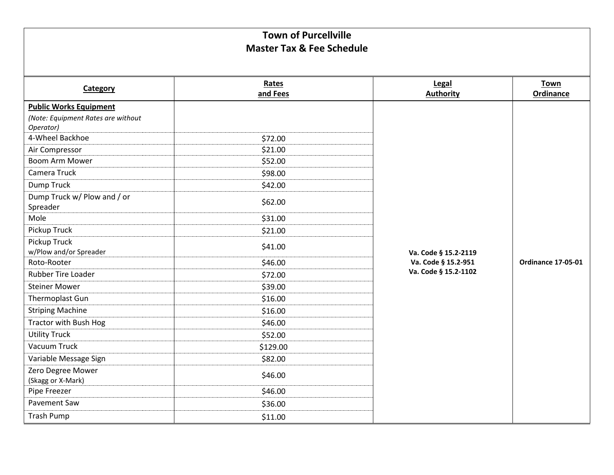| Category                               | Rates    | Legal                                       | <b>Town</b>               |
|----------------------------------------|----------|---------------------------------------------|---------------------------|
|                                        | and Fees | <b>Authority</b>                            | Ordinance                 |
| <b>Public Works Equipment</b>          |          |                                             |                           |
| (Note: Equipment Rates are without     |          |                                             |                           |
| Operator)<br>4-Wheel Backhoe           | \$72.00  |                                             |                           |
| Air Compressor                         | \$21.00  |                                             |                           |
| <b>Boom Arm Mower</b>                  | \$52.00  |                                             |                           |
| Camera Truck                           |          |                                             |                           |
|                                        | \$98.00  |                                             |                           |
| Dump Truck                             | \$42.00  |                                             |                           |
| Dump Truck w/ Plow and / or            | \$62.00  |                                             |                           |
| Spreader<br>Mole                       |          |                                             |                           |
|                                        | \$31.00  |                                             |                           |
| Pickup Truck                           | \$21.00  |                                             |                           |
| Pickup Truck<br>w/Plow and/or Spreader | \$41.00  | Va. Code § 15.2-2119<br>Va. Code § 15.2-951 |                           |
| Roto-Rooter                            | \$46.00  |                                             | <b>Ordinance 17-05-01</b> |
| <b>Rubber Tire Loader</b>              |          | Va. Code § 15.2-1102                        |                           |
|                                        | \$72.00  |                                             |                           |
| <b>Steiner Mower</b>                   | \$39.00  |                                             |                           |
| Thermoplast Gun                        | \$16.00  |                                             |                           |
| <b>Striping Machine</b>                | \$16.00  |                                             |                           |
| Tractor with Bush Hog                  | \$46.00  |                                             |                           |
| <b>Utility Truck</b>                   | \$52.00  |                                             |                           |
| Vacuum Truck                           | \$129.00 |                                             |                           |
| Variable Message Sign                  | \$82.00  |                                             |                           |
| Zero Degree Mower                      | \$46.00  |                                             |                           |
| (Skagg or X-Mark)                      |          |                                             |                           |
| Pipe Freezer                           | \$46.00  |                                             |                           |
| Pavement Saw                           | \$36.00  |                                             |                           |
| <b>Trash Pump</b>                      | \$11.00  |                                             |                           |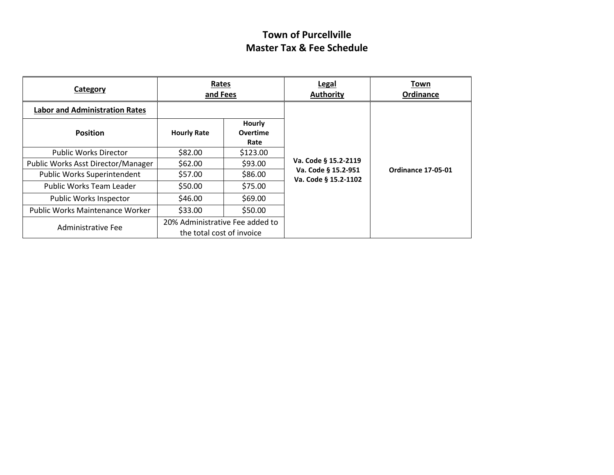| Category                              | Rates<br>and Fees         |                                   | <b>Legal</b><br><b>Authority</b>            | Town<br>Ordinance         |
|---------------------------------------|---------------------------|-----------------------------------|---------------------------------------------|---------------------------|
| <b>Labor and Administration Rates</b> |                           |                                   |                                             |                           |
| <b>Position</b>                       | <b>Hourly Rate</b>        | Hourly<br><b>Overtime</b><br>Rate |                                             |                           |
| <b>Public Works Director</b>          | \$82.00                   | \$123.00                          |                                             |                           |
| Public Works Asst Director/Manager    | \$62.00                   | \$93.00                           | Va. Code § 15.2-2119                        |                           |
| Public Works Superintendent           | \$57.00                   | \$86.00                           | Va. Code § 15.2-951<br>Va. Code § 15.2-1102 | <b>Ordinance 17-05-01</b> |
| Public Works Team Leader              | \$50.00                   | \$75.00                           |                                             |                           |
| <b>Public Works Inspector</b>         | \$46.00                   | \$69.00                           |                                             |                           |
| Public Works Maintenance Worker       | \$33.00                   | \$50.00                           |                                             |                           |
| Administrative Fee                    | the total cost of invoice | 20% Administrative Fee added to   |                                             |                           |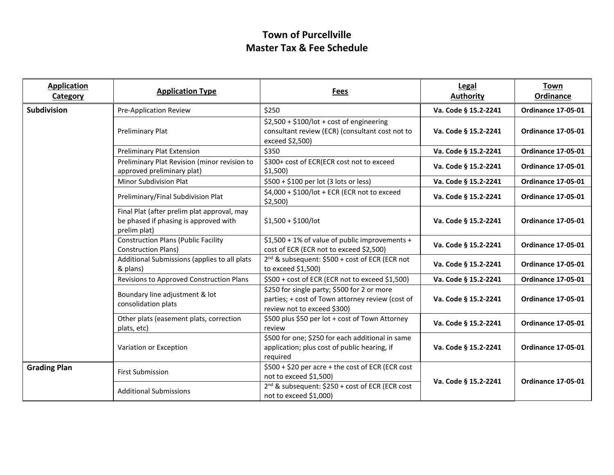| <b>Application</b><br>Category | <b>Application Type</b>                                                                              | <b>Fees</b>                                                                                                                    | Legal<br><b>Authority</b> | Town<br>Ordinance         |
|--------------------------------|------------------------------------------------------------------------------------------------------|--------------------------------------------------------------------------------------------------------------------------------|---------------------------|---------------------------|
| <b>Subdivision</b>             | Pre-Application Review                                                                               | \$250                                                                                                                          | Va. Code § 15.2-2241      | <b>Ordinance 17-05-01</b> |
|                                | <b>Preliminary Plat</b>                                                                              | $$2,500 + $100/lot + cost of engineering$<br>consultant review (ECR) (consultant cost not to<br>exceed \$2,500)                | Va. Code § 15.2-2241      | <b>Ordinance 17-05-01</b> |
|                                | <b>Preliminary Plat Extension</b>                                                                    | \$350                                                                                                                          | Va. Code § 15.2-2241      | <b>Ordinance 17-05-01</b> |
|                                | Preliminary Plat Revision (minor revision to<br>approved preliminary plat)                           | \$300+ cost of ECR(ECR cost not to exceed<br>$$1,500$ )                                                                        | Va. Code § 15.2-2241      | <b>Ordinance 17-05-01</b> |
|                                | Minor Subdivision Plat                                                                               | \$500 + \$100 per lot (3 lots or less)                                                                                         | Va. Code § 15.2-2241      | <b>Ordinance 17-05-01</b> |
|                                | Preliminary/Final Subdivision Plat                                                                   | \$4,000 + \$100/lot + ECR (ECR not to exceed<br>$$2,500$ )                                                                     | Va. Code § 15.2-2241      | <b>Ordinance 17-05-01</b> |
|                                | Final Plat (after prelim plat approval, may<br>be phased if phasing is approved with<br>prelim plat) | $$1,500 + $100/$ lot                                                                                                           | Va. Code § 15.2-2241      | <b>Ordinance 17-05-01</b> |
|                                | <b>Construction Plans (Public Facility</b><br><b>Construction Plans)</b>                             | \$1,500 + 1% of value of public improvements +<br>cost of ECR (ECR not to exceed \$2,500)                                      | Va. Code § 15.2-2241      | <b>Ordinance 17-05-01</b> |
|                                | Additional Submissions (applies to all plats<br>& plans)                                             | 2 <sup>nd</sup> & subsequent: \$500 + cost of ECR (ECR not<br>to exceed \$1,500)                                               | Va. Code § 15.2-2241      | <b>Ordinance 17-05-01</b> |
|                                | Revisions to Approved Construction Plans                                                             | \$500 + cost of ECR (ECR not to exceed \$1,500)                                                                                | Va. Code § 15.2-2241      | <b>Ordinance 17-05-01</b> |
|                                | Boundary line adjustment & lot<br>consolidation plats                                                | \$250 for single party; \$500 for 2 or more<br>parties; + cost of Town attorney review (cost of<br>review not to exceed \$300) | Va. Code § 15.2-2241      | <b>Ordinance 17-05-01</b> |
|                                | Other plats (easement plats, correction<br>plats, etc)                                               | \$500 plus \$50 per lot + cost of Town Attorney<br>review                                                                      | Va. Code § 15.2-2241      | <b>Ordinance 17-05-01</b> |
|                                | Variation or Exception                                                                               | \$500 for one; \$250 for each additional in same<br>application; plus cost of public hearing, if<br>required                   | Va. Code § 15.2-2241      | <b>Ordinance 17-05-01</b> |
| <b>Grading Plan</b>            | <b>First Submission</b>                                                                              | \$500 + \$20 per acre + the cost of ECR (ECR cost<br>not to exceed \$1,500)                                                    | Va. Code § 15.2-2241      | <b>Ordinance 17-05-01</b> |
|                                | <b>Additional Submissions</b>                                                                        | 2 <sup>nd</sup> & subsequent: \$250 + cost of ECR (ECR cost<br>not to exceed $$1,000$ )                                        |                           |                           |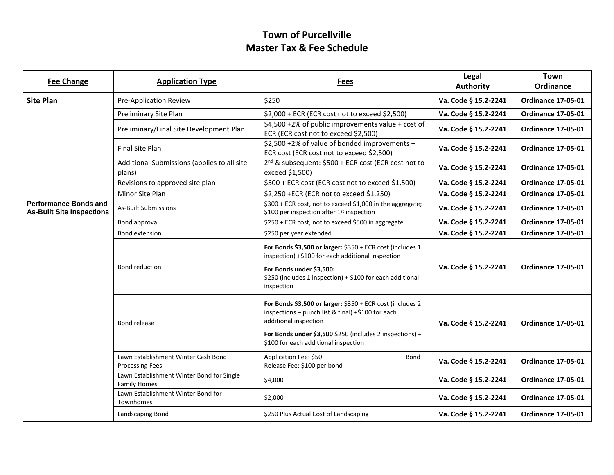| <b>Fee Change</b>                                                | <b>Application Type</b>                                          | Fees                                                                                                                                                                                                                                        | Legal<br><b>Authority</b> | <b>Town</b><br><b>Ordinance</b> |
|------------------------------------------------------------------|------------------------------------------------------------------|---------------------------------------------------------------------------------------------------------------------------------------------------------------------------------------------------------------------------------------------|---------------------------|---------------------------------|
| <b>Site Plan</b>                                                 | <b>Pre-Application Review</b>                                    | \$250                                                                                                                                                                                                                                       | Va. Code § 15.2-2241      | <b>Ordinance 17-05-01</b>       |
|                                                                  | Preliminary Site Plan                                            | \$2,000 + ECR (ECR cost not to exceed \$2,500)                                                                                                                                                                                              | Va. Code § 15.2-2241      | <b>Ordinance 17-05-01</b>       |
|                                                                  | Preliminary/Final Site Development Plan                          | \$4,500 +2% of public improvements value + cost of<br>ECR (ECR cost not to exceed \$2,500)                                                                                                                                                  | Va. Code § 15.2-2241      | <b>Ordinance 17-05-01</b>       |
|                                                                  | Final Site Plan                                                  | \$2,500 +2% of value of bonded improvements +<br>ECR cost (ECR cost not to exceed \$2,500)                                                                                                                                                  | Va. Code § 15.2-2241      | <b>Ordinance 17-05-01</b>       |
|                                                                  | Additional Submissions (applies to all site<br>plans)            | 2 <sup>nd</sup> & subsequent: \$500 + ECR cost (ECR cost not to<br>exceed \$1,500)                                                                                                                                                          | Va. Code § 15.2-2241      | <b>Ordinance 17-05-01</b>       |
|                                                                  | Revisions to approved site plan                                  | \$500 + ECR cost (ECR cost not to exceed \$1,500)                                                                                                                                                                                           | Va. Code § 15.2-2241      | <b>Ordinance 17-05-01</b>       |
|                                                                  | Minor Site Plan                                                  | \$2,250 + ECR (ECR not to exceed \$1,250)                                                                                                                                                                                                   | Va. Code § 15.2-2241      | <b>Ordinance 17-05-01</b>       |
| <b>Performance Bonds and</b><br><b>As-Built Site Inspections</b> | <b>As-Built Submissions</b>                                      | \$300 + ECR cost, not to exceed \$1,000 in the aggregate;<br>\$100 per inspection after 1st inspection                                                                                                                                      | Va. Code § 15.2-2241      | <b>Ordinance 17-05-01</b>       |
|                                                                  | Bond approval                                                    | \$250 + ECR cost, not to exceed \$500 in aggregate                                                                                                                                                                                          | Va. Code § 15.2-2241      | <b>Ordinance 17-05-01</b>       |
|                                                                  | Bond extension                                                   | \$250 per year extended                                                                                                                                                                                                                     | Va. Code § 15.2-2241      | <b>Ordinance 17-05-01</b>       |
|                                                                  | Bond reduction                                                   | For Bonds \$3,500 or larger: \$350 + ECR cost (includes 1<br>inspection) +\$100 for each additional inspection<br>For Bonds under \$3,500:<br>\$250 (includes 1 inspection) + \$100 for each additional<br>inspection                       | Va. Code § 15.2-2241      | <b>Ordinance 17-05-01</b>       |
|                                                                  | Bond release                                                     | For Bonds \$3,500 or larger: \$350 + ECR cost (includes 2<br>inspections - punch list & final) +\$100 for each<br>additional inspection<br>For Bonds under \$3,500 \$250 (includes 2 inspections) +<br>\$100 for each additional inspection | Va. Code § 15.2-2241      | <b>Ordinance 17-05-01</b>       |
|                                                                  | Lawn Establishment Winter Cash Bond<br><b>Processing Fees</b>    | Application Fee: \$50<br>Bond<br>Release Fee: \$100 per bond                                                                                                                                                                                | Va. Code § 15.2-2241      | <b>Ordinance 17-05-01</b>       |
|                                                                  | Lawn Establishment Winter Bond for Single<br><b>Family Homes</b> | \$4,000                                                                                                                                                                                                                                     | Va. Code § 15.2-2241      | <b>Ordinance 17-05-01</b>       |
|                                                                  | Lawn Establishment Winter Bond for<br>Townhomes                  | \$2,000                                                                                                                                                                                                                                     | Va. Code § 15.2-2241      | <b>Ordinance 17-05-01</b>       |
|                                                                  | Landscaping Bond                                                 | \$250 Plus Actual Cost of Landscaping                                                                                                                                                                                                       | Va. Code § 15.2-2241      | <b>Ordinance 17-05-01</b>       |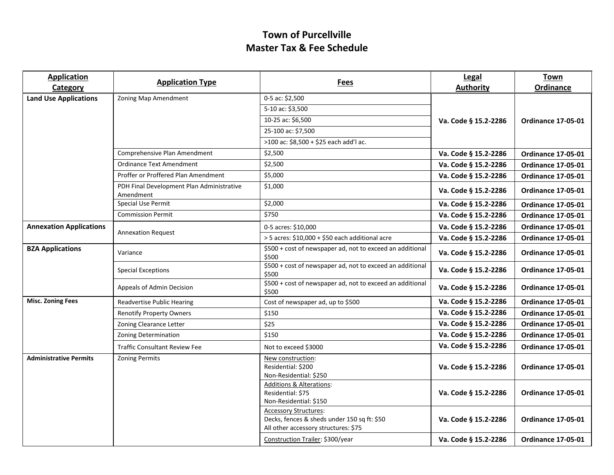| <b>Application</b><br>Category | <b>Application Type</b>                                | <b>Fees</b>                                                                                                         | Legal<br><b>Authority</b> | <b>Town</b><br>Ordinance  |
|--------------------------------|--------------------------------------------------------|---------------------------------------------------------------------------------------------------------------------|---------------------------|---------------------------|
| <b>Land Use Applications</b>   | Zoning Map Amendment                                   | 0-5 ac: \$2,500                                                                                                     |                           |                           |
|                                |                                                        | 5-10 ac: \$3,500                                                                                                    |                           |                           |
|                                |                                                        | 10-25 ac: \$6,500                                                                                                   | Va. Code § 15.2-2286      | <b>Ordinance 17-05-01</b> |
|                                |                                                        | 25-100 ac: \$7,500                                                                                                  |                           |                           |
|                                |                                                        | >100 ac: \$8,500 + \$25 each add'l ac.                                                                              |                           |                           |
|                                | Comprehensive Plan Amendment                           | \$2,500                                                                                                             | Va. Code § 15.2-2286      | <b>Ordinance 17-05-01</b> |
|                                | Ordinance Text Amendment                               | \$2,500                                                                                                             | Va. Code § 15.2-2286      | <b>Ordinance 17-05-01</b> |
|                                | Proffer or Proffered Plan Amendment                    | \$5,000                                                                                                             | Va. Code § 15.2-2286      | <b>Ordinance 17-05-01</b> |
|                                | PDH Final Development Plan Administrative<br>Amendment | \$1,000                                                                                                             | Va. Code § 15.2-2286      | <b>Ordinance 17-05-01</b> |
|                                | <b>Special Use Permit</b>                              | \$2,000                                                                                                             | Va. Code § 15.2-2286      | <b>Ordinance 17-05-01</b> |
|                                | <b>Commission Permit</b>                               | \$750                                                                                                               | Va. Code § 15.2-2286      | <b>Ordinance 17-05-01</b> |
| <b>Annexation Applications</b> |                                                        | 0-5 acres: \$10,000                                                                                                 | Va. Code § 15.2-2286      | <b>Ordinance 17-05-01</b> |
|                                | <b>Annexation Request</b>                              | > 5 acres: \$10,000 + \$50 each additional acre                                                                     | Va. Code § 15.2-2286      | <b>Ordinance 17-05-01</b> |
| <b>BZA Applications</b>        | Variance                                               | \$500 + cost of newspaper ad, not to exceed an additional<br>\$500                                                  | Va. Code § 15.2-2286      | <b>Ordinance 17-05-01</b> |
|                                | <b>Special Exceptions</b>                              | \$500 + cost of newspaper ad, not to exceed an additional<br>\$500                                                  | Va. Code § 15.2-2286      | <b>Ordinance 17-05-01</b> |
|                                | Appeals of Admin Decision                              | \$500 + cost of newspaper ad, not to exceed an additional<br>\$500                                                  | Va. Code § 15.2-2286      | <b>Ordinance 17-05-01</b> |
| <b>Misc. Zoning Fees</b>       | <b>Readvertise Public Hearing</b>                      | Cost of newspaper ad, up to \$500                                                                                   | Va. Code § 15.2-2286      | <b>Ordinance 17-05-01</b> |
|                                | <b>Renotify Property Owners</b>                        | \$150                                                                                                               | Va. Code § 15.2-2286      | <b>Ordinance 17-05-01</b> |
|                                | Zoning Clearance Letter                                | \$25                                                                                                                | Va. Code § 15.2-2286      | <b>Ordinance 17-05-01</b> |
|                                | <b>Zoning Determination</b>                            | \$150                                                                                                               | Va. Code § 15.2-2286      | <b>Ordinance 17-05-01</b> |
|                                | <b>Traffic Consultant Review Fee</b>                   | Not to exceed \$3000                                                                                                | Va. Code § 15.2-2286      | <b>Ordinance 17-05-01</b> |
| <b>Administrative Permits</b>  | <b>Zoning Permits</b>                                  | New construction:<br>Residential: \$200<br>Non-Residential: \$250                                                   | Va. Code § 15.2-2286      | <b>Ordinance 17-05-01</b> |
|                                |                                                        | <b>Additions &amp; Alterations:</b><br>Residential: \$75<br>Non-Residential: \$150                                  | Va. Code § 15.2-2286      | <b>Ordinance 17-05-01</b> |
|                                |                                                        | <b>Accessory Structures:</b><br>Decks, fences & sheds under 150 sq ft: \$50<br>All other accessory structures: \$75 | Va. Code § 15.2-2286      | <b>Ordinance 17-05-01</b> |
|                                |                                                        | Construction Trailer: \$300/year                                                                                    | Va. Code § 15.2-2286      | <b>Ordinance 17-05-01</b> |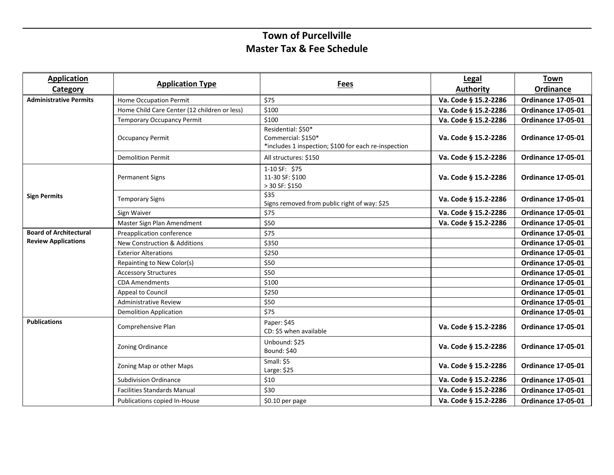| <b>Application</b><br><b>Category</b> | <b>Application Type</b>                      | <b>Fees</b>                                                                                      | Legal<br><b>Authority</b> | <b>Town</b><br>Ordinance  |
|---------------------------------------|----------------------------------------------|--------------------------------------------------------------------------------------------------|---------------------------|---------------------------|
| <b>Administrative Permits</b>         | <b>Home Occupation Permit</b>                | \$75                                                                                             | Va. Code § 15.2-2286      | <b>Ordinance 17-05-01</b> |
|                                       | Home Child Care Center (12 children or less) | \$100                                                                                            | Va. Code § 15.2-2286      | <b>Ordinance 17-05-01</b> |
|                                       | <b>Temporary Occupancy Permit</b>            | \$100                                                                                            | Va. Code § 15.2-2286      | <b>Ordinance 17-05-01</b> |
|                                       | <b>Occupancy Permit</b>                      | Residential: \$50*<br>Commercial: \$150*<br>*includes 1 inspection; \$100 for each re-inspection | Va. Code § 15.2-2286      | <b>Ordinance 17-05-01</b> |
|                                       | <b>Demolition Permit</b>                     | All structures: \$150                                                                            | Va. Code § 15.2-2286      | <b>Ordinance 17-05-01</b> |
|                                       | <b>Permanent Signs</b>                       | 1-10 SF: \$75<br>11-30 SF: \$100<br>> 30 SF: \$150                                               | Va. Code § 15.2-2286      | <b>Ordinance 17-05-01</b> |
| <b>Sign Permits</b>                   | <b>Temporary Signs</b>                       | \$35<br>Signs removed from public right of way: \$25                                             | Va. Code § 15.2-2286      | <b>Ordinance 17-05-01</b> |
|                                       | Sign Waiver                                  | \$75                                                                                             | Va. Code § 15.2-2286      | <b>Ordinance 17-05-01</b> |
|                                       | Master Sign Plan Amendment                   | \$50                                                                                             | Va. Code § 15.2-2286      | <b>Ordinance 17-05-01</b> |
| <b>Board of Architectural</b>         | Preapplication conference                    | \$75                                                                                             |                           | <b>Ordinance 17-05-01</b> |
| <b>Review Applications</b>            | <b>New Construction &amp; Additions</b>      | \$350                                                                                            |                           | <b>Ordinance 17-05-01</b> |
|                                       | <b>Exterior Alterations</b>                  | \$250                                                                                            |                           | <b>Ordinance 17-05-01</b> |
|                                       | Repainting to New Color(s)                   | \$50                                                                                             |                           | <b>Ordinance 17-05-01</b> |
|                                       | <b>Accessory Structures</b>                  | \$50                                                                                             |                           | <b>Ordinance 17-05-01</b> |
|                                       | <b>CDA Amendments</b>                        | \$100                                                                                            |                           | <b>Ordinance 17-05-01</b> |
|                                       | Appeal to Council                            | \$250                                                                                            |                           | <b>Ordinance 17-05-01</b> |
|                                       | <b>Administrative Review</b>                 | \$50                                                                                             |                           | <b>Ordinance 17-05-01</b> |
|                                       | <b>Demolition Application</b>                | \$75                                                                                             |                           | <b>Ordinance 17-05-01</b> |
| <b>Publications</b>                   | Comprehensive Plan                           | Paper: \$45<br>CD: \$5 when available                                                            | Va. Code § 15.2-2286      | <b>Ordinance 17-05-01</b> |
|                                       | Zoning Ordinance                             | Unbound: \$25<br><b>Bound: \$40</b>                                                              | Va. Code § 15.2-2286      | <b>Ordinance 17-05-01</b> |
|                                       | Zoning Map or other Maps                     | Small: \$5<br>Large: \$25                                                                        | Va. Code § 15.2-2286      | <b>Ordinance 17-05-01</b> |
|                                       | <b>Subdivision Ordinance</b>                 | \$10                                                                                             | Va. Code § 15.2-2286      | <b>Ordinance 17-05-01</b> |
|                                       | <b>Facilities Standards Manual</b>           | \$30                                                                                             | Va. Code § 15.2-2286      | <b>Ordinance 17-05-01</b> |
|                                       | Publications copied In-House                 | \$0.10 per page                                                                                  | Va. Code § 15.2-2286      | <b>Ordinance 17-05-01</b> |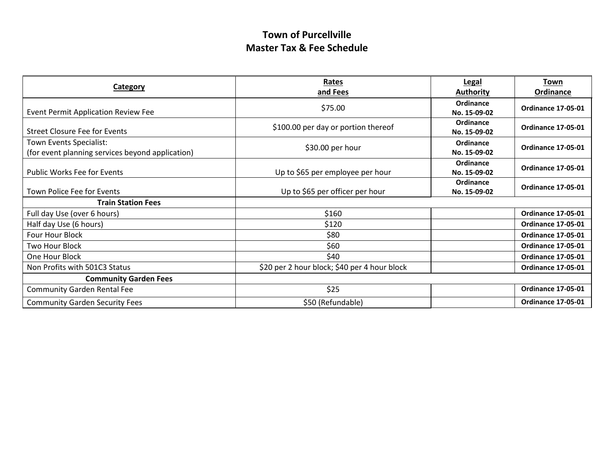| <b>Category</b>                                                             | Rates<br>and Fees                            | <b>Legal</b><br><b>Authority</b> | Town<br><b>Ordinance</b>  |
|-----------------------------------------------------------------------------|----------------------------------------------|----------------------------------|---------------------------|
| <b>Event Permit Application Review Fee</b>                                  | \$75.00                                      | Ordinance<br>No. 15-09-02        | <b>Ordinance 17-05-01</b> |
| Street Closure Fee for Events                                               | \$100.00 per day or portion thereof          | Ordinance<br>No. 15-09-02        | <b>Ordinance 17-05-01</b> |
| Town Events Specialist:<br>(for event planning services beyond application) | \$30.00 per hour                             | Ordinance<br>No. 15-09-02        | <b>Ordinance 17-05-01</b> |
| <b>Public Works Fee for Events</b>                                          | Up to \$65 per employee per hour             | Ordinance<br>No. 15-09-02        | <b>Ordinance 17-05-01</b> |
| Town Police Fee for Events                                                  | Up to \$65 per officer per hour              | Ordinance<br>No. 15-09-02        | <b>Ordinance 17-05-01</b> |
| <b>Train Station Fees</b>                                                   |                                              |                                  |                           |
| Full day Use (over 6 hours)                                                 | \$160                                        |                                  | <b>Ordinance 17-05-01</b> |
| Half day Use (6 hours)                                                      | \$120                                        |                                  | <b>Ordinance 17-05-01</b> |
| <b>Four Hour Block</b>                                                      | \$80                                         |                                  | <b>Ordinance 17-05-01</b> |
| Two Hour Block                                                              | \$60                                         |                                  | <b>Ordinance 17-05-01</b> |
| One Hour Block                                                              | \$40                                         |                                  | <b>Ordinance 17-05-01</b> |
| Non Profits with 501C3 Status                                               | \$20 per 2 hour block; \$40 per 4 hour block |                                  | <b>Ordinance 17-05-01</b> |
| <b>Community Garden Fees</b>                                                |                                              |                                  |                           |
| <b>Community Garden Rental Fee</b>                                          | \$25                                         |                                  | <b>Ordinance 17-05-01</b> |
| <b>Community Garden Security Fees</b>                                       | \$50 (Refundable)                            |                                  | <b>Ordinance 17-05-01</b> |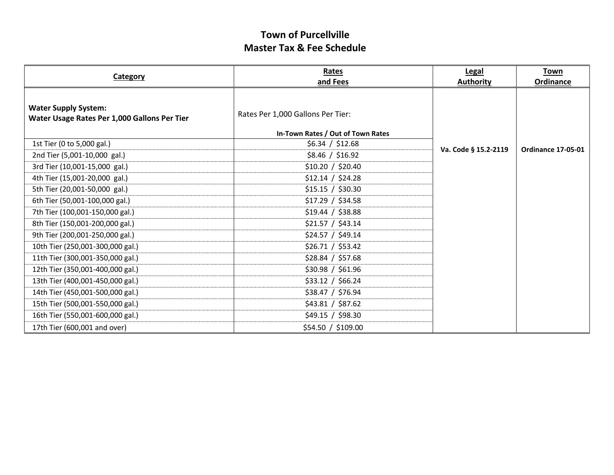| <b>Category</b>                                                             | Rates<br>and Fees                 | <b>Legal</b><br><b>Authority</b> | <b>Town</b><br><b>Ordinance</b> |
|-----------------------------------------------------------------------------|-----------------------------------|----------------------------------|---------------------------------|
|                                                                             |                                   |                                  |                                 |
| <b>Water Supply System:</b><br>Water Usage Rates Per 1,000 Gallons Per Tier | Rates Per 1,000 Gallons Per Tier: |                                  |                                 |
|                                                                             | In-Town Rates / Out of Town Rates |                                  |                                 |
| 1st Tier (0 to 5,000 gal.)                                                  | \$6.34 / \$12.68                  | Va. Code § 15.2-2119             | <b>Ordinance 17-05-01</b>       |
| 2nd Tier (5,001-10,000 gal.)                                                | \$8.46 / \$16.92                  |                                  |                                 |
| 3rd Tier (10,001-15,000 gal.)                                               | \$10.20 / \$20.40                 |                                  |                                 |
| 4th Tier (15,001-20,000 gal.)                                               | \$12.14 / \$24.28                 |                                  |                                 |
| 5th Tier (20,001-50,000 gal.)                                               | \$15.15 / \$30.30                 |                                  |                                 |
| 6th Tier (50,001-100,000 gal.)                                              | \$17.29 / \$34.58                 |                                  |                                 |
| 7th Tier (100,001-150,000 gal.)                                             | \$19.44 / \$38.88                 |                                  |                                 |
| 8th Tier (150,001-200,000 gal.)                                             | \$21.57 / \$43.14                 |                                  |                                 |
| 9th Tier (200,001-250,000 gal.)                                             | \$24.57 / \$49.14                 |                                  |                                 |
| 10th Tier (250,001-300,000 gal.)                                            | \$26.71 / \$53.42                 |                                  |                                 |
| 11th Tier (300,001-350,000 gal.)                                            | \$28.84 / \$57.68                 |                                  |                                 |
| 12th Tier (350,001-400,000 gal.)                                            | \$30.98 / \$61.96                 |                                  |                                 |
| 13th Tier (400,001-450,000 gal.)                                            | \$33.12 / \$66.24                 |                                  |                                 |
| 14th Tier (450,001-500,000 gal.)                                            | \$38.47 / \$76.94                 |                                  |                                 |
| 15th Tier (500,001-550,000 gal.)                                            | \$43.81 / \$87.62                 |                                  |                                 |
| 16th Tier (550,001-600,000 gal.)                                            | \$49.15 / \$98.30                 |                                  |                                 |
| 17th Tier (600,001 and over)                                                | \$54.50 / \$109.00                |                                  |                                 |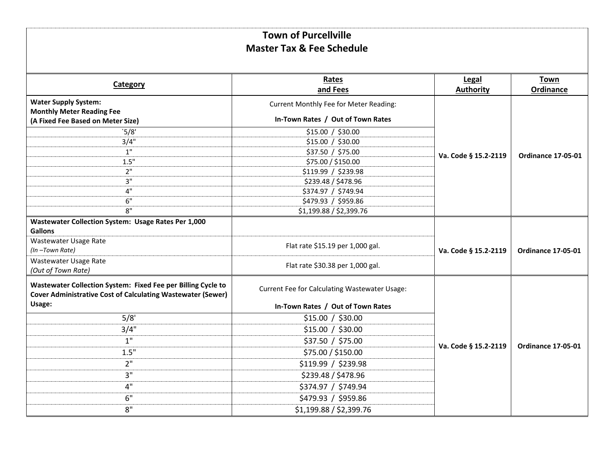|                                                                                                                                    | Rates                                         | Legal                | <b>Town</b>               |
|------------------------------------------------------------------------------------------------------------------------------------|-----------------------------------------------|----------------------|---------------------------|
| Category                                                                                                                           | and Fees                                      | <b>Authority</b>     | Ordinance                 |
| <b>Water Supply System:</b><br><b>Monthly Meter Reading Fee</b>                                                                    | Current Monthly Fee for Meter Reading:        |                      |                           |
| (A Fixed Fee Based on Meter Size)                                                                                                  | In-Town Rates / Out of Town Rates             |                      |                           |
| 5/8'                                                                                                                               | \$15.00 / \$30.00                             |                      |                           |
| 3/4"                                                                                                                               | \$15.00 / \$30.00                             |                      |                           |
| 1"                                                                                                                                 | \$37.50 / \$75.00                             | Va. Code § 15.2-2119 | <b>Ordinance 17-05-01</b> |
| 1.5"                                                                                                                               | \$75.00 / \$150.00                            |                      |                           |
| 2"                                                                                                                                 | \$119.99 / \$239.98                           |                      |                           |
| 3"                                                                                                                                 | \$239.48 / \$478.96                           |                      |                           |
| 4"                                                                                                                                 | \$374.97 / \$749.94                           |                      |                           |
| 6"                                                                                                                                 | \$479.93 / \$959.86                           |                      |                           |
| 8"                                                                                                                                 | \$1,199.88 / \$2,399.76                       |                      |                           |
| Wastewater Collection System: Usage Rates Per 1,000<br><b>Gallons</b>                                                              |                                               |                      |                           |
| Wastewater Usage Rate<br>(In-Town Rate)                                                                                            | Flat rate \$15.19 per 1,000 gal.              | Va. Code § 15.2-2119 | <b>Ordinance 17-05-01</b> |
| Wastewater Usage Rate<br>(Out of Town Rate)                                                                                        | Flat rate \$30.38 per 1,000 gal.              |                      |                           |
| Wastewater Collection System: Fixed Fee per Billing Cycle to<br><b>Cover Administrative Cost of Calculating Wastewater (Sewer)</b> | Current Fee for Calculating Wastewater Usage: |                      |                           |
| Usage:                                                                                                                             | In-Town Rates / Out of Town Rates             |                      |                           |
| 5/8'                                                                                                                               | \$15.00 / \$30.00                             |                      |                           |
| 3/4"                                                                                                                               | \$15.00 / \$30.00                             |                      |                           |
| 1"                                                                                                                                 | \$37.50 / \$75.00                             | Va. Code § 15.2-2119 | <b>Ordinance 17-05-01</b> |
| 1.5"                                                                                                                               | \$75.00 / \$150.00                            |                      |                           |
| 2"                                                                                                                                 | \$119.99 / \$239.98                           |                      |                           |
| 3"                                                                                                                                 | \$239.48 / \$478.96                           |                      |                           |
| 4"                                                                                                                                 | \$374.97 / \$749.94                           |                      |                           |
| 6"                                                                                                                                 | \$479.93 / \$959.86                           |                      |                           |
| 8"                                                                                                                                 | \$1,199.88 / \$2,399.76                       |                      |                           |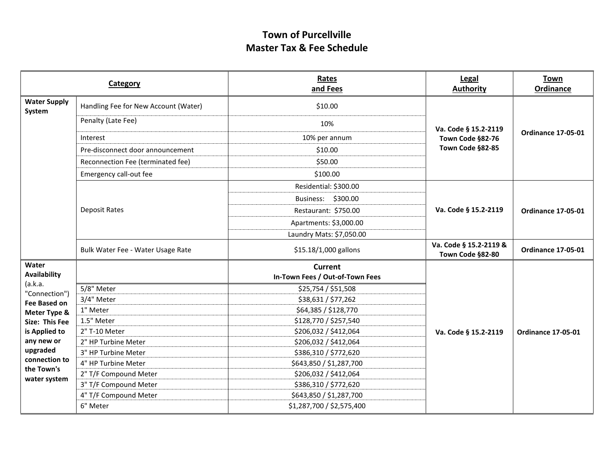|                                             | Category                             | Rates<br>and Fees               | Legal<br><b>Authority</b>                  | <b>Town</b><br>Ordinance  |
|---------------------------------------------|--------------------------------------|---------------------------------|--------------------------------------------|---------------------------|
| <b>Water Supply</b><br>System               | Handling Fee for New Account (Water) | \$10.00                         |                                            | <b>Ordinance 17-05-01</b> |
|                                             | Penalty (Late Fee)                   | 10%                             | Va. Code § 15.2-2119                       |                           |
|                                             | Interest                             | 10% per annum                   | Town Code §82-76                           |                           |
|                                             | Pre-disconnect door announcement     | \$10.00                         | Town Code §82-85                           |                           |
|                                             | Reconnection Fee (terminated fee)    | \$50.00                         |                                            |                           |
|                                             | Emergency call-out fee               | \$100.00                        |                                            |                           |
|                                             |                                      | Residential: \$300.00           |                                            | <b>Ordinance 17-05-01</b> |
|                                             |                                      | Business: \$300.00              |                                            |                           |
|                                             | <b>Deposit Rates</b>                 | Restaurant: \$750.00            | Va. Code § 15.2-2119                       |                           |
|                                             |                                      | Apartments: \$3,000.00          |                                            |                           |
|                                             |                                      | Laundry Mats: \$7,050.00        |                                            |                           |
|                                             | Bulk Water Fee - Water Usage Rate    | \$15.18/1,000 gallons           | Va. Code § 15.2-2119 &<br>Town Code §82-80 | <b>Ordinance 17-05-01</b> |
| Water                                       |                                      | <b>Current</b>                  |                                            |                           |
| Availability<br>(a.k.a.                     |                                      | In-Town Fees / Out-of-Town Fees |                                            |                           |
| "Connection")                               | 5/8" Meter                           | \$25,754 / \$51,508             |                                            |                           |
| Fee Based on                                | 3/4" Meter                           | \$38,631 / \$77,262             |                                            |                           |
| Meter Type &                                | 1" Meter                             | \$64,385 / \$128,770            |                                            |                           |
| Size: This Fee                              | 1.5" Meter                           | \$128,770 / \$257,540           |                                            |                           |
| is Applied to                               | 2" T-10 Meter                        | \$206,032 / \$412,064           | Va. Code § 15.2-2119                       | <b>Ordinance 17-05-01</b> |
| any new or                                  | 2" HP Turbine Meter                  | \$206,032 / \$412,064           |                                            |                           |
| upgraded                                    | 3" HP Turbine Meter                  | \$386,310 / \$772,620           |                                            |                           |
| connection to<br>the Town's<br>water system | 4" HP Turbine Meter                  | \$643,850 / \$1,287,700         |                                            |                           |
|                                             | 2" T/F Compound Meter                | \$206,032 / \$412,064           |                                            |                           |
|                                             | 3" T/F Compound Meter                | \$386,310 / \$772,620           |                                            |                           |
|                                             | 4" T/F Compound Meter                | \$643,850 / \$1,287,700         |                                            |                           |
|                                             | 6" Meter                             | \$1,287,700 / \$2,575,400       |                                            |                           |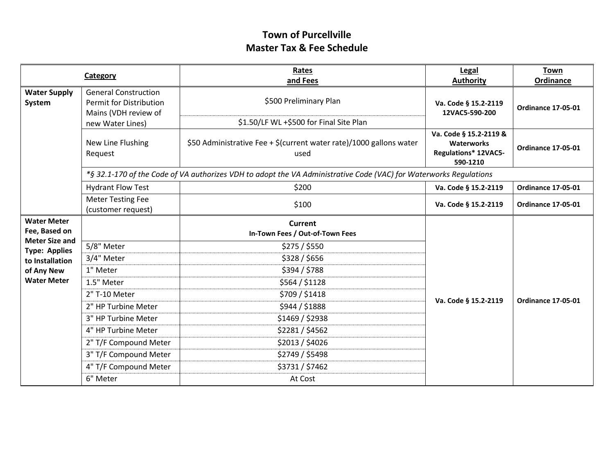|                                                                                                                                             | Category                                                                                                  | Rates<br>and Fees                                                                                                 | Legal<br><b>Authority</b>                                                       | <b>Town</b><br>Ordinance  |
|---------------------------------------------------------------------------------------------------------------------------------------------|-----------------------------------------------------------------------------------------------------------|-------------------------------------------------------------------------------------------------------------------|---------------------------------------------------------------------------------|---------------------------|
| <b>Water Supply</b><br>System                                                                                                               | <b>General Construction</b><br><b>Permit for Distribution</b><br>Mains (VDH review of<br>new Water Lines) | \$500 Preliminary Plan<br>\$1.50/LF WL +\$500 for Final Site Plan                                                 | Va. Code § 15.2-2119<br>12VAC5-590-200                                          | <b>Ordinance 17-05-01</b> |
|                                                                                                                                             | New Line Flushing<br>Request                                                                              | \$50 Administrative Fee + \$(current water rate)/1000 gallons water<br>used                                       | Va. Code § 15.2-2119 &<br><b>Waterworks</b><br>Regulations* 12VAC5-<br>590-1210 | <b>Ordinance 17-05-01</b> |
|                                                                                                                                             |                                                                                                           | *§ 32.1-170 of the Code of VA authorizes VDH to adopt the VA Administrative Code (VAC) for Waterworks Regulations |                                                                                 |                           |
|                                                                                                                                             | <b>Hydrant Flow Test</b>                                                                                  | \$200                                                                                                             | Va. Code § 15.2-2119                                                            | <b>Ordinance 17-05-01</b> |
|                                                                                                                                             | <b>Meter Testing Fee</b><br>(customer request)                                                            | \$100                                                                                                             | Va. Code § 15.2-2119                                                            | <b>Ordinance 17-05-01</b> |
| <b>Water Meter</b><br>Fee, Based on<br><b>Meter Size and</b><br><b>Type: Applies</b><br>to Installation<br>of Any New<br><b>Water Meter</b> | 5/8" Meter<br>3/4" Meter<br>1" Meter<br>1.5" Meter                                                        | Current<br>In-Town Fees / Out-of-Town Fees<br>\$275/\$550<br>\$328 / \$656<br>\$394 / \$788<br>\$564 / \$1128     |                                                                                 |                           |
|                                                                                                                                             | 2" T-10 Meter<br>2" HP Turbine Meter<br>3" HP Turbine Meter<br>4" HP Turbine Meter                        | \$709 / \$1418<br>\$944 / \$1888<br>\$1469 / \$2938<br>\$2281 / \$4562                                            | Va. Code § 15.2-2119                                                            | <b>Ordinance 17-05-01</b> |
|                                                                                                                                             | 2" T/F Compound Meter<br>3" T/F Compound Meter<br>4" T/F Compound Meter<br>6" Meter                       | \$2013 / \$4026<br>\$2749 / \$5498<br>\$3731 / \$7462<br>At Cost                                                  |                                                                                 |                           |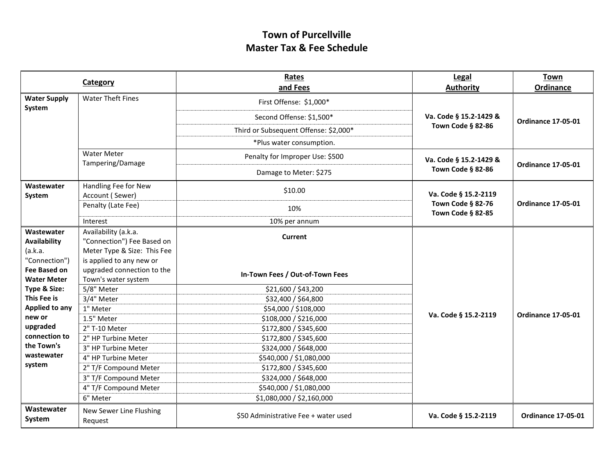|                                                            | Category                                                                          | Rates<br>and Fees                     | Legal<br><b>Authority</b>              | <b>Town</b><br><b>Ordinance</b> |
|------------------------------------------------------------|-----------------------------------------------------------------------------------|---------------------------------------|----------------------------------------|---------------------------------|
| <b>Water Supply</b>                                        | <b>Water Theft Fines</b>                                                          | First Offense: \$1,000*               |                                        |                                 |
| System                                                     |                                                                                   |                                       |                                        |                                 |
|                                                            |                                                                                   | Second Offense: \$1,500*              | Va. Code § 15.2-1429 &                 | <b>Ordinance 17-05-01</b>       |
|                                                            |                                                                                   | Third or Subsequent Offense: \$2,000* | Town Code § 82-86                      |                                 |
|                                                            |                                                                                   | *Plus water consumption.              |                                        |                                 |
|                                                            | <b>Water Meter</b><br>Tampering/Damage                                            | Penalty for Improper Use: \$500       | Va. Code § 15.2-1429 &                 |                                 |
|                                                            |                                                                                   | Damage to Meter: \$275                | Town Code § 82-86                      | <b>Ordinance 17-05-01</b>       |
| Wastewater<br>System                                       | Handling Fee for New<br>Account (Sewer)                                           | \$10.00                               | Va. Code § 15.2-2119                   |                                 |
|                                                            | Penalty (Late Fee)                                                                | 10%                                   | Town Code § 82-76<br>Town Code § 82-85 | <b>Ordinance 17-05-01</b>       |
|                                                            | Interest                                                                          | 10% per annum                         |                                        |                                 |
| Wastewater<br>Availability<br>(a.k.a.                      | Availability (a.k.a.<br>"Connection") Fee Based on<br>Meter Type & Size: This Fee | Current                               |                                        | <b>Ordinance 17-05-01</b>       |
| "Connection")<br><b>Fee Based on</b><br><b>Water Meter</b> | is applied to any new or<br>upgraded connection to the<br>Town's water system     | In-Town Fees / Out-of-Town Fees       |                                        |                                 |
| Type & Size:                                               | 5/8" Meter                                                                        | \$21,600 / \$43,200                   |                                        |                                 |
| This Fee is                                                | 3/4" Meter                                                                        | \$32,400 / \$64,800                   |                                        |                                 |
| Applied to any                                             | 1" Meter                                                                          | \$54,000 / \$108,000                  | Va. Code § 15.2-2119                   |                                 |
| new or                                                     | 1.5" Meter                                                                        | \$108,000 / \$216,000                 |                                        |                                 |
| upgraded<br>connection to                                  | 2" T-10 Meter                                                                     | \$172,800 / \$345,600                 |                                        |                                 |
| the Town's                                                 | 2" HP Turbine Meter                                                               | \$172,800 / \$345,600                 |                                        |                                 |
| wastewater                                                 | 3" HP Turbine Meter                                                               | \$324,000 / \$648,000                 |                                        |                                 |
| system                                                     | 4" HP Turbine Meter                                                               | \$540,000 / \$1,080,000               |                                        |                                 |
|                                                            | 2" T/F Compound Meter                                                             | \$172,800 / \$345,600                 |                                        |                                 |
|                                                            | 3" T/F Compound Meter                                                             | \$324,000 / \$648,000                 |                                        |                                 |
|                                                            | 4" T/F Compound Meter                                                             | \$540,000 / \$1,080,000               |                                        |                                 |
|                                                            | 6" Meter                                                                          | \$1,080,000 / \$2,160,000             |                                        |                                 |
| Wastewater<br>System                                       | New Sewer Line Flushing<br>Request                                                | \$50 Administrative Fee + water used  | Va. Code § 15.2-2119                   | <b>Ordinance 17-05-01</b>       |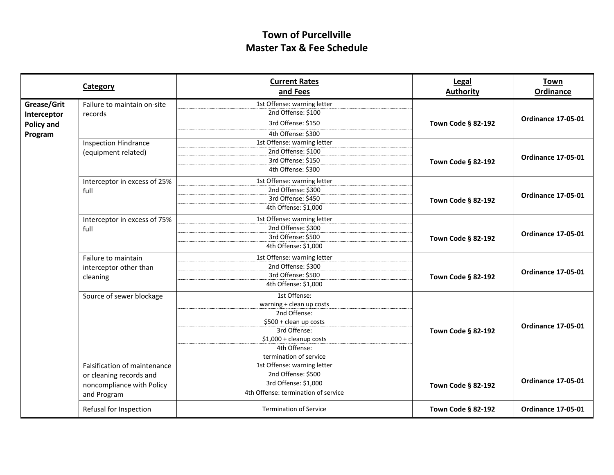|                   | Category                     | <b>Current Rates</b>                | Legal              | <b>Town</b>               |
|-------------------|------------------------------|-------------------------------------|--------------------|---------------------------|
|                   |                              | and Fees                            | <b>Authority</b>   | Ordinance                 |
| Grease/Grit       | Failure to maintain on-site  | 1st Offense: warning letter         |                    |                           |
| Interceptor       | records                      | 2nd Offense: \$100                  |                    | <b>Ordinance 17-05-01</b> |
| <b>Policy and</b> |                              | 3rd Offense: \$150                  | Town Code § 82-192 |                           |
| Program           |                              | 4th Offense: \$300                  |                    |                           |
|                   | <b>Inspection Hindrance</b>  | 1st Offense: warning letter         |                    |                           |
|                   | (equipment related)          | 2nd Offense: \$100                  |                    | <b>Ordinance 17-05-01</b> |
|                   |                              | 3rd Offense: \$150                  | Town Code § 82-192 |                           |
|                   |                              | 4th Offense: \$300                  |                    |                           |
|                   | Interceptor in excess of 25% | 1st Offense: warning letter         |                    |                           |
|                   | full                         | 2nd Offense: \$300                  |                    |                           |
|                   |                              | 3rd Offense: \$450                  | Town Code § 82-192 | <b>Ordinance 17-05-01</b> |
|                   |                              | 4th Offense: \$1,000                |                    |                           |
|                   | Interceptor in excess of 75% | 1st Offense: warning letter         |                    | <b>Ordinance 17-05-01</b> |
|                   | full                         | 2nd Offense: \$300                  |                    |                           |
|                   |                              | 3rd Offense: \$500                  | Town Code § 82-192 |                           |
|                   |                              | 4th Offense: \$1,000                |                    |                           |
|                   | Failure to maintain          | 1st Offense: warning letter         |                    | <b>Ordinance 17-05-01</b> |
|                   | interceptor other than       | 2nd Offense: \$300                  |                    |                           |
|                   | cleaning                     | 3rd Offense: \$500                  | Town Code § 82-192 |                           |
|                   |                              | 4th Offense: \$1,000                |                    |                           |
|                   | Source of sewer blockage     | 1st Offense:                        |                    |                           |
|                   |                              | warning + clean up costs            |                    |                           |
|                   |                              | 2nd Offense:                        |                    |                           |
|                   |                              | \$500 + clean up costs              |                    | <b>Ordinance 17-05-01</b> |
|                   |                              | 3rd Offense:                        | Town Code § 82-192 |                           |
|                   |                              | $$1,000 +$ cleanup costs            |                    |                           |
|                   |                              | 4th Offense:                        |                    |                           |
|                   |                              | termination of service              |                    |                           |
|                   | Falsification of maintenance | 1st Offense: warning letter         |                    |                           |
|                   | or cleaning records and      | 2nd Offense: \$500                  | Town Code § 82-192 | <b>Ordinance 17-05-01</b> |
|                   | noncompliance with Policy    | 3rd Offense: \$1,000                |                    |                           |
|                   | and Program                  | 4th Offense: termination of service |                    |                           |
|                   | Refusal for Inspection       | <b>Termination of Service</b>       | Town Code § 82-192 | <b>Ordinance 17-05-01</b> |